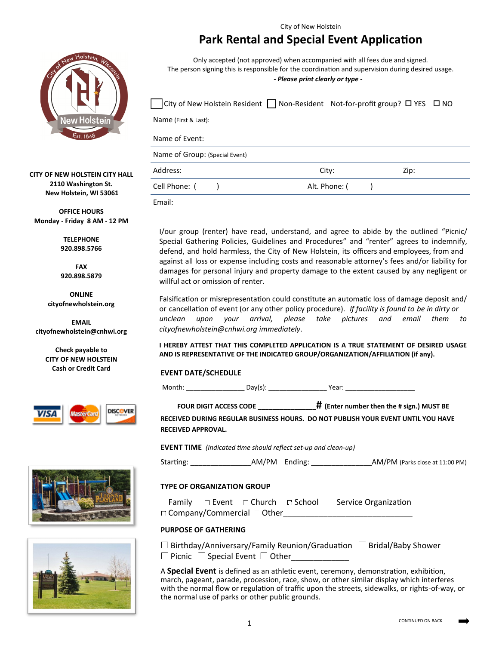

**CITY OF NEW HOLSTEIN CITY HALL 2110 Washington St. New Holstein, WI 53061**

**OFFICE HOURS Monday - Friday 8 AM - 12 PM**

> **TELEPHONE 920.898.5766**

> **FAX 920.898.5879**

**ONLINE cityofnewholstein.org**

**EMAIL cityofnewholstein@cnhwi.org**

> **Check payable to CITY OF NEW HOLSTEIN Cash or Credit Card**







City of New Holstein

# **Park Rental and Special Event Application**

Only accepted (not approved) when accompanied with all fees due and signed. The person signing this is responsible for the coordination and supervision during desired usage.

#### *- Please print clearly or type -*

| City of New Holstein Resident $\Box$ Non-Resident Not-for-profit group? $\Box$ YES $\Box$ NO |               |      |  |
|----------------------------------------------------------------------------------------------|---------------|------|--|
| Name (First & Last):                                                                         |               |      |  |
| Name of Event:                                                                               |               |      |  |
| Name of Group: (Special Event)                                                               |               |      |  |
| Address:                                                                                     | City:         | Zip: |  |
| Cell Phone: (                                                                                | Alt. Phone: ( |      |  |
| Fmail:                                                                                       |               |      |  |

I/our group (renter) have read, understand, and agree to abide by the outlined "Picnic/ Special Gathering Policies, Guidelines and Procedures" and "renter" agrees to indemnify, defend, and hold harmless, the City of New Holstein, its officers and employees, from and against all loss or expense including costs and reasonable attorney's fees and/or liability for damages for personal injury and property damage to the extent caused by any negligent or willful act or omission of renter.

Falsification or misrepresentation could constitute an automatic loss of damage deposit and/ or cancellation of event (or any other policy procedure). *If facility is found to be in dirty or unclean upon your arrival, please take pictures and email them to cityofnewholstein@cnhwi.org immediately*.

**I HEREBY ATTEST THAT THIS COMPLETED APPLICATION IS A TRUE STATEMENT OF DESIRED USAGE AND IS REPRESENTATIVE OF THE INDICATED GROUP/ORGANIZATION/AFFILIATION (if any).**

# **EVENT DATE/SCHEDULE**

Month: \_\_\_\_\_\_\_\_\_\_\_\_\_\_\_\_ Day(s): \_\_\_\_\_\_\_\_\_\_\_\_\_\_\_\_ Year: \_\_\_\_\_\_\_\_\_\_\_\_\_\_\_\_\_\_\_

**FOUR DIGIT ACCESS CODE \_\_\_\_\_\_\_\_\_\_\_\_\_\_\_\_# (Enter number then the # sign.) MUST BE**

**RECEIVED DURING REGULAR BUSINESS HOURS. DO NOT PUBLISH YOUR EVENT UNTIL YOU HAVE RECEIVED APPROVAL.**

**EVENT TIME** *(Indicated time should reflect set-up and clean-up)*

Starting: The Starting: AM/PM Ending: The Starting AM/PM (Parks close at 11:00 PM)

# **TYPE OF ORGANIZATION GROUP**

Family  $\Box$  Event  $\Box$  Church  $\Box$  School  $\Box$  Service Organization Company/Commercial Other\_\_\_\_\_\_\_\_\_\_\_\_\_\_\_\_\_\_\_\_\_\_\_\_\_\_\_\_\_

**PURPOSE OF GATHERING**

 $\Box$  Birthday/Anniversary/Family Reunion/Graduation  $\Box$  Bridal/Baby Shower Picnic Special Event | Other

A **Special Event** is defined as an athletic event, ceremony, demonstration, exhibition, march, pageant, parade, procession, race, show, or other similar display which interferes with the normal flow or regulation of traffic upon the streets, sidewalks, or rights-of-way, or the normal use of parks or other public grounds.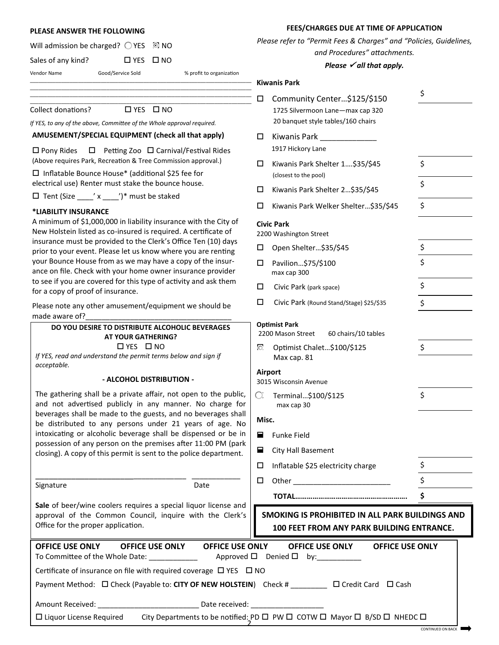#### **PLEASE ANSWER THE FOLLOWING**

|  | Will admission be charged? $\bigcirc$ YES $\bigcirc$ NO |  |  |  |  |
|--|---------------------------------------------------------|--|--|--|--|
|--|---------------------------------------------------------|--|--|--|--|

Sales of any kind?  $\Box$  YES  $\Box$  NO

Vendor Name Good/Service Sold % profit to organization

#### **AMUSEMENT/SPECIAL EQUIPMENT (check all that apply)**

#### **\*LIABILITY INSURANCE**

#### **- ALCOHOL DISTRIBUTION -**

#### **FEES/CHARGES DUE AT TIME OF APPLICATION**

*Please refer to "Permit Fees & Charges" and "Policies, Guidelines,* 

*and Procedures" attachments.* 

#### *Please √all that apply.*

|                                                                                                                                                                                                                                                                                                                                                                                                                                                                                                                                        | <b>Kiwanis Park</b>                                                                                                                                                                                                                      |  |  |  |
|----------------------------------------------------------------------------------------------------------------------------------------------------------------------------------------------------------------------------------------------------------------------------------------------------------------------------------------------------------------------------------------------------------------------------------------------------------------------------------------------------------------------------------------|------------------------------------------------------------------------------------------------------------------------------------------------------------------------------------------------------------------------------------------|--|--|--|
| <b>Collect donations?</b><br>$\Box$ YES $\Box$ NO<br>If YES, to any of the above, Committee of the Whole approval required.                                                                                                                                                                                                                                                                                                                                                                                                            | \$<br>□<br>Community Center\$125/\$150<br>1725 Silvermoon Lane-max cap 320<br>20 banquet style tables/160 chairs                                                                                                                         |  |  |  |
| AMUSEMENT/SPECIAL EQUIPMENT (check all that apply)                                                                                                                                                                                                                                                                                                                                                                                                                                                                                     | □<br>Kiwanis Park ____________                                                                                                                                                                                                           |  |  |  |
| $\Box$ Petting Zoo $\Box$ Carnival/Festival Rides<br>$\Box$ Pony Rides                                                                                                                                                                                                                                                                                                                                                                                                                                                                 | 1917 Hickory Lane                                                                                                                                                                                                                        |  |  |  |
| (Above requires Park, Recreation & Tree Commission approval.)<br>$\Box$ Inflatable Bounce House* (additional \$25 fee for                                                                                                                                                                                                                                                                                                                                                                                                              | \$<br>Kiwanis Park Shelter 1\$35/\$45<br>□<br>(closest to the pool)                                                                                                                                                                      |  |  |  |
| electrical use) Renter must stake the bounce house.<br>$\Box$ Tent (Size ____' x ____')* must be staked<br>*LIABILITY INSURANCE<br>A minimum of \$1,000,000 in liability insurance with the City of<br>New Holstein listed as co-insured is required. A certificate of<br>insurance must be provided to the Clerk's Office Ten (10) days<br>prior to your event. Please let us know where you are renting<br>your Bounce House from as we may have a copy of the insur-<br>ance on file. Check with your home owner insurance provider | \$<br>Kiwanis Park Shelter 2\$35/\$45<br>□                                                                                                                                                                                               |  |  |  |
|                                                                                                                                                                                                                                                                                                                                                                                                                                                                                                                                        | \$<br>Kiwanis Park Welker Shelter\$35/\$45<br>□                                                                                                                                                                                          |  |  |  |
|                                                                                                                                                                                                                                                                                                                                                                                                                                                                                                                                        | <b>Civic Park</b><br>2200 Washington Street                                                                                                                                                                                              |  |  |  |
|                                                                                                                                                                                                                                                                                                                                                                                                                                                                                                                                        | \$<br>Open Shelter\$35/\$45<br>□                                                                                                                                                                                                         |  |  |  |
|                                                                                                                                                                                                                                                                                                                                                                                                                                                                                                                                        | \$<br>Pavilion\$75/\$100<br>□<br>max cap 300                                                                                                                                                                                             |  |  |  |
| to see if you are covered for this type of activity and ask them<br>for a copy of proof of insurance.                                                                                                                                                                                                                                                                                                                                                                                                                                  | \$<br>□<br>Civic Park (park space)                                                                                                                                                                                                       |  |  |  |
| Please note any other amusement/equipment we should be                                                                                                                                                                                                                                                                                                                                                                                                                                                                                 | \$<br>$\Box$<br>Civic Park (Round Stand/Stage) \$25/\$35                                                                                                                                                                                 |  |  |  |
| made aware of?                                                                                                                                                                                                                                                                                                                                                                                                                                                                                                                         | <b>Optimist Park</b>                                                                                                                                                                                                                     |  |  |  |
| DO YOU DESIRE TO DISTRIBUTE ALCOHOLIC BEVERAGES<br><b>AT YOUR GATHERING?</b>                                                                                                                                                                                                                                                                                                                                                                                                                                                           | 2200 Mason Street<br>60 chairs/10 tables                                                                                                                                                                                                 |  |  |  |
| $\Box$ YES $\Box$ NO<br>If YES, read and understand the permit terms below and sign if                                                                                                                                                                                                                                                                                                                                                                                                                                                 | \$<br>Optimist Chalet\$100/\$125<br>$\circ$<br>Max cap. 81                                                                                                                                                                               |  |  |  |
| acceptable.<br>- ALCOHOL DISTRIBUTION -                                                                                                                                                                                                                                                                                                                                                                                                                                                                                                | Airport<br>3015 Wisconsin Avenue                                                                                                                                                                                                         |  |  |  |
| The gathering shall be a private affair, not open to the public,<br>and not advertised publicly in any manner. No charge for                                                                                                                                                                                                                                                                                                                                                                                                           | \$<br>O,<br>Terminal\$100/\$125<br>max cap 30                                                                                                                                                                                            |  |  |  |
| beverages shall be made to the guests, and no beverages shall                                                                                                                                                                                                                                                                                                                                                                                                                                                                          | Misc.                                                                                                                                                                                                                                    |  |  |  |
| be distributed to any persons under 21 years of age. No<br>intoxicating or alcoholic beverage shall be dispensed or be in<br>possession of any person on the premises after 11:00 PM (park<br>closing). A copy of this permit is sent to the police department.                                                                                                                                                                                                                                                                        | Е<br><b>Funke Field</b>                                                                                                                                                                                                                  |  |  |  |
|                                                                                                                                                                                                                                                                                                                                                                                                                                                                                                                                        | Е<br>City Hall Basement                                                                                                                                                                                                                  |  |  |  |
|                                                                                                                                                                                                                                                                                                                                                                                                                                                                                                                                        | \$<br>Inflatable \$25 electricity charge<br>□                                                                                                                                                                                            |  |  |  |
| Date<br>Signature                                                                                                                                                                                                                                                                                                                                                                                                                                                                                                                      | \$<br>□<br>Other and the contract of the contract of the contract of the contract of the contract of the contract of the contract of the contract of the contract of the contract of the contract of the contract of the contract of the |  |  |  |
|                                                                                                                                                                                                                                                                                                                                                                                                                                                                                                                                        | \$                                                                                                                                                                                                                                       |  |  |  |
| Sale of beer/wine coolers requires a special liquor license and<br>approval of the Common Council, inquire with the Clerk's<br>Office for the proper application.                                                                                                                                                                                                                                                                                                                                                                      | SMOKING IS PROHIBITED IN ALL PARK BUILDINGS AND<br>100 FEET FROM ANY PARK BUILDING ENTRANCE.                                                                                                                                             |  |  |  |
| OFFICE LICE ONLY                                                                                                                                                                                                                                                                                                                                                                                                                                                                                                                       |                                                                                                                                                                                                                                          |  |  |  |

| <b>OFFICE USE ONLY</b>                                                                                          | <b>OFFICE USE ONLY</b> | <b>OFFICE USE ONLY</b>                                                                                                                                                                                                         | <b>OFFICE USE ONLY</b>                       | <b>OFFICE USE ONLY</b>                                                                                 |
|-----------------------------------------------------------------------------------------------------------------|------------------------|--------------------------------------------------------------------------------------------------------------------------------------------------------------------------------------------------------------------------------|----------------------------------------------|--------------------------------------------------------------------------------------------------------|
| To Committee of the Whole Date:                                                                                 |                        |                                                                                                                                                                                                                                | Approved $\Box$ Denied $\Box$ by: __________ |                                                                                                        |
| Certificate of insurance on file with required coverage $\Box$ YES $\Box$ NO                                    |                        |                                                                                                                                                                                                                                |                                              |                                                                                                        |
| Payment Method: □ Check (Payable to: CITY OF NEW HOLSTEIN) Check #                                              |                        |                                                                                                                                                                                                                                |                                              | $\Box$ Credit Card $\Box$ Cash                                                                         |
| Amount Received: The contract of the contract of the contract of the contract of the contract of the contract o |                        | Date received: Note that the state of the state of the state of the state of the state of the state of the state of the state of the state of the state of the state of the state of the state of the state of the state of th |                                              |                                                                                                        |
| $\Box$ Liquor License Required                                                                                  |                        |                                                                                                                                                                                                                                |                                              | City Departments to be notified: PD $\Box$ PW $\Box$ COTW $\Box$ Mayor $\Box$ B/SD $\Box$ NHEDC $\Box$ |

2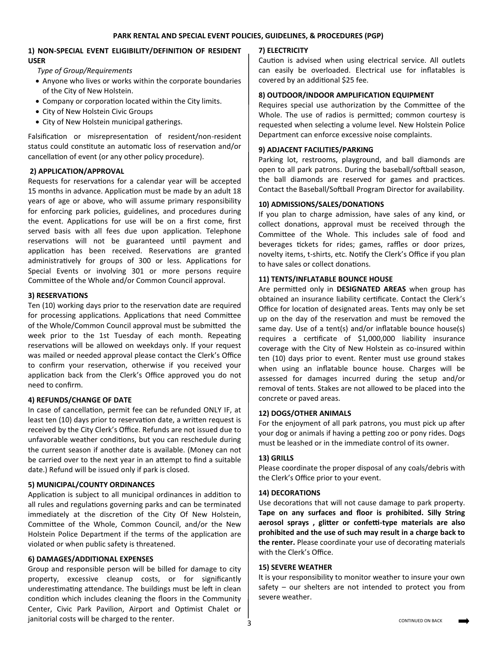# **1) NON-SPECIAL EVENT ELIGIBILITY/DEFINITION OF RESIDENT USER**

 *Type of Group/Requirements*

- Anyone who lives or works within the corporate boundaries of the City of New Holstein.
- Company or corporation located within the City limits.
- City of New Holstein Civic Groups
- City of New Holstein municipal gatherings.

Falsification or misrepresentation of resident/non-resident status could constitute an automatic loss of reservation and/or cancellation of event (or any other policy procedure).

# **2) APPLICATION/APPROVAL**

Requests for reservations for a calendar year will be accepted 15 months in advance. Application must be made by an adult 18 years of age or above, who will assume primary responsibility for enforcing park policies, guidelines, and procedures during the event. Applications for use will be on a first come, first served basis with all fees due upon application. Telephone reservations will not be guaranteed until payment and application has been received. Reservations are granted administratively for groups of 300 or less. Applications for Special Events or involving 301 or more persons require Committee of the Whole and/or Common Council approval.

# **3) RESERVATIONS**

Ten (10) working days prior to the reservation date are required for processing applications. Applications that need Committee of the Whole/Common Council approval must be submitted the week prior to the 1st Tuesday of each month. Repeating reservations will be allowed on weekdays only. If your request was mailed or needed approval please contact the Clerk's Office to confirm your reservation, otherwise if you received your application back from the Clerk's Office approved you do not need to confirm.

# **4) REFUNDS/CHANGE OF DATE**

In case of cancellation, permit fee can be refunded ONLY IF, at least ten (10) days prior to reservation date, a written request is received by the City Clerk's Office. Refunds are not issued due to unfavorable weather conditions, but you can reschedule during the current season if another date is available. (Money can not be carried over to the next year in an attempt to find a suitable date.) Refund will be issued only if park is closed.

# **5) MUNICIPAL/COUNTY ORDINANCES**

Application is subject to all municipal ordinances in addition to all rules and regulations governing parks and can be terminated immediately at the discretion of the City Of New Holstein, Committee of the Whole, Common Council, and/or the New Holstein Police Department if the terms of the application are violated or when public safety is threatened.

# **6) DAMAGES/ADDITIONAL EXPENSES**

Group and responsible person will be billed for damage to city property, excessive cleanup costs, or for significantly underestimating attendance. The buildings must be left in clean condition which includes cleaning the floors in the Community Center, Civic Park Pavilion, Airport and Optimist Chalet or janitorial costs will be charged to the renter.

# **7) ELECTRICITY**

Caution is advised when using electrical service. All outlets can easily be overloaded. Electrical use for inflatables is covered by an additional \$25 fee.

# **8) OUTDOOR/INDOOR AMPLIFICATION EQUIPMENT**

Requires special use authorization by the Committee of the Whole. The use of radios is permitted; common courtesy is requested when selecting a volume level. New Holstein Police Department can enforce excessive noise complaints.

# **9) ADJACENT FACILITIES/PARKING**

Parking lot, restrooms, playground, and ball diamonds are open to all park patrons. During the baseball/softball season, the ball diamonds are reserved for games and practices. Contact the Baseball/Softball Program Director for availability.

# **10) ADMISSIONS/SALES/DONATIONS**

If you plan to charge admission, have sales of any kind, or collect donations, approval must be received through the Committee of the Whole. This includes sale of food and beverages tickets for rides; games, raffles or door prizes, novelty items, t-shirts, etc. Notify the Clerk's Office if you plan to have sales or collect donations.

# **11) TENTS/INFLATABLE BOUNCE HOUSE**

Are permitted only in **DESIGNATED AREAS** when group has obtained an insurance liability certificate. Contact the Clerk's Office for location of designated areas. Tents may only be set up on the day of the reservation and must be removed the same day. Use of a tent(s) and/or inflatable bounce house(s) requires a certificate of \$1,000,000 liability insurance coverage with the City of New Holstein as co-insured within ten (10) days prior to event. Renter must use ground stakes when using an inflatable bounce house. Charges will be assessed for damages incurred during the setup and/or removal of tents. Stakes are not allowed to be placed into the concrete or paved areas.

# **12) DOGS/OTHER ANIMALS**

For the enjoyment of all park patrons, you must pick up after your dog or animals if having a petting zoo or pony rides. Dogs must be leashed or in the immediate control of its owner.

# **13) GRILLS**

Please coordinate the proper disposal of any coals/debris with the Clerk's Office prior to your event.

# **14) DECORATIONS**

Use decorations that will not cause damage to park property. **Tape on any surfaces and floor is prohibited. Silly String aerosol sprays , glitter or confetti-type materials are also prohibited and the use of such may result in a charge back to the renter.** Please coordinate your use of decorating materials with the Clerk's Office.

#### **15) SEVERE WEATHER**

It is your responsibility to monitor weather to insure your own safety – our shelters are not intended to protect you from severe weather.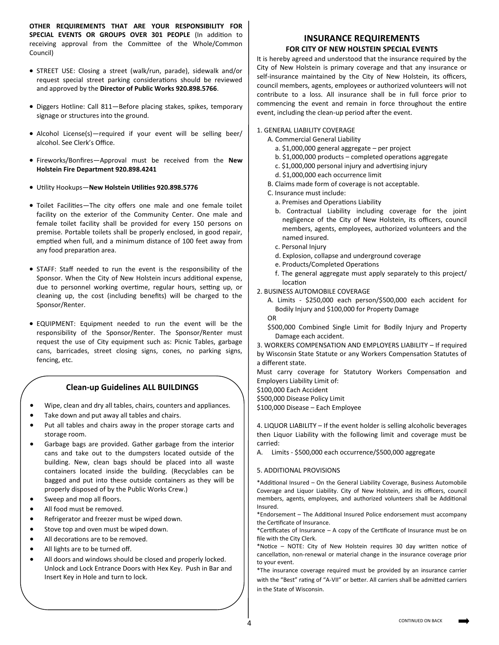**OTHER REQUIREMENTS THAT ARE YOUR RESPONSIBILITY FOR SPECIAL EVENTS OR GROUPS OVER 301 PEOPLE** (In addition to receiving approval from the Committee of the Whole/Common Council)

- STREET USE: Closing a street (walk/run, parade), sidewalk and/or request special street parking considerations should be reviewed and approved by the **Director of Public Works 920.898.5766**.
- Diggers Hotline: Call 811—Before placing stakes, spikes, temporary signage or structures into the ground.
- Alcohol License(s)—required if your event will be selling beer/ alcohol. See Clerk's Office.
- Fireworks/Bonfires—Approval must be received from the **New Holstein Fire Department 920.898.4241**
- Utility Hookups—**New Holstein Utilities 920.898.5776**
- Toilet Facilities—The city offers one male and one female toilet facility on the exterior of the Community Center. One male and female toilet facility shall be provided for every 150 persons on premise. Portable toilets shall be properly enclosed, in good repair, emptied when full, and a minimum distance of 100 feet away from any food preparation area.
- STAFF: Staff needed to run the event is the responsibility of the Sponsor. When the City of New Holstein incurs additional expense, due to personnel working overtime, regular hours, setting up, or cleaning up, the cost (including benefits) will be charged to the Sponsor/Renter.
- EQUIPMENT: Equipment needed to run the event will be the responsibility of the Sponsor/Renter. The Sponsor/Renter must request the use of City equipment such as: Picnic Tables, garbage cans, barricades, street closing signs, cones, no parking signs, fencing, etc.

# **Clean-up Guidelines ALL BUILDINGS**

- Wipe, clean and dry all tables, chairs, counters and appliances.
- Take down and put away all tables and chairs.
- Put all tables and chairs away in the proper storage carts and storage room.
- Garbage bags are provided. Gather garbage from the interior cans and take out to the dumpsters located outside of the building. New, clean bags should be placed into all waste containers located inside the building. (Recyclables can be bagged and put into these outside containers as they will be properly disposed of by the Public Works Crew.)
- Sweep and mop all floors.
- All food must be removed.
- Refrigerator and freezer must be wiped down.
- Stove top and oven must be wiped down.
- All decorations are to be removed.
- All lights are to be turned off.
- All doors and windows should be closed and properly locked. Unlock and Lock Entrance Doors with Hex Key. Push in Bar and Insert Key in Hole and turn to lock.

# **INSURANCE REQUIREMENTS FOR CITY OF NEW HOLSTEIN SPECIAL EVENTS**

It is hereby agreed and understood that the insurance required by the City of New Holstein is primary coverage and that any insurance or self-insurance maintained by the City of New Holstein, its officers, council members, agents, employees or authorized volunteers will not contribute to a loss. All insurance shall be in full force prior to commencing the event and remain in force throughout the entire event, including the clean-up period after the event.

#### 1. GENERAL LIABILITY COVERAGE

- A. Commercial General Liability
	- a. \$1,000,000 general aggregate per project
	- b. \$1,000,000 products completed operations aggregate
	- c. \$1,000,000 personal injury and advertising injury
	- d. \$1,000,000 each occurrence limit
- B. Claims made form of coverage is not acceptable.
- C. Insurance must include:
	- a. Premises and Operations Liability
	- b. Contractual Liability including coverage for the joint negligence of the City of New Holstein, its officers, council members, agents, employees, authorized volunteers and the named insured.
	- c. Personal Injury
	- d. Explosion, collapse and underground coverage
- e. Products/Completed Operations
- f. The general aggregate must apply separately to this project/ location

2. BUSINESS AUTOMOBILE COVERAGE

A. Limits - \$250,000 each person/\$500,000 each accident for Bodily Injury and \$100,000 for Property Damage

OR

\$500,000 Combined Single Limit for Bodily Injury and Property Damage each accident.

3. WORKERS COMPENSATION AND EMPLOYERS LIABILITY – If required by Wisconsin State Statute or any Workers Compensation Statutes of a different state.

Must carry coverage for Statutory Workers Compensation and Employers Liability Limit of:

\$100,000 Each Accident

\$500,000 Disease Policy Limit

\$100,000 Disease – Each Employee

4. LIQUOR LIABILITY – If the event holder is selling alcoholic beverages then Liquor Liability with the following limit and coverage must be carried:

A. Limits - \$500,000 each occurrence/\$500,000 aggregate

#### 5. ADDITIONAL PROVISIONS

\*Additional Insured – On the General Liability Coverage, Business Automobile Coverage and Liquor Liability. City of New Holstein, and its officers, council members, agents, employees, and authorized volunteers shall be Additional Insured.

\*Endorsement – The Additional Insured Police endorsement must accompany the Certificate of Insurance.

\*Certificates of Insurance – A copy of the Certificate of Insurance must be on file with the City Clerk.

\*Notice – NOTE: City of New Holstein requires 30 day written notice of cancellation, non-renewal or material change in the insurance coverage prior to your event.

\*The insurance coverage required must be provided by an insurance carrier with the "Best" rating of "A-VII" or better. All carriers shall be admitted carriers in the State of Wisconsin.